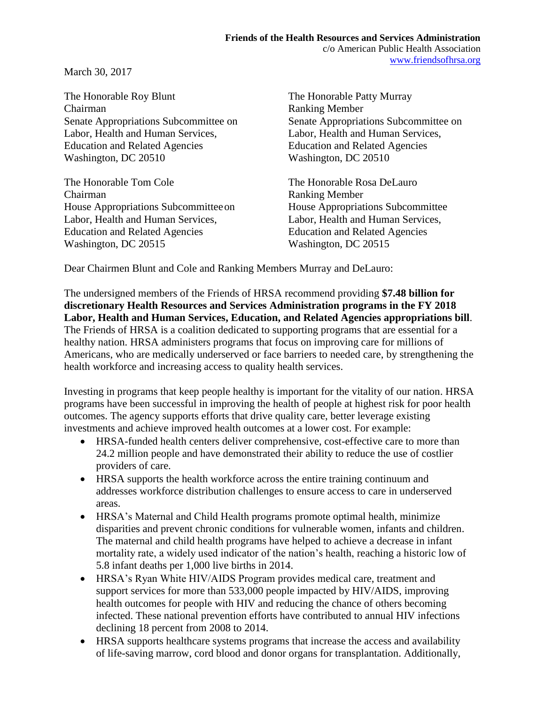March 30, 2017

The Honorable Roy Blunt The Honorable Patty Murray Chairman Ranking Member Labor, Health and Human Services, Labor, Health and Human Services, Education and Related Agencies Education and Related Agencies Washington, DC 20510 Washington, DC 20510

The Honorable Tom Cole The Honorable Rosa DeLauro Chairman Ranking Member House Appropriations Subcommitteeon House Appropriations Subcommittee Labor, Health and Human Services, Labor, Health and Human Services, Education and Related Agencies Education and Related Agencies Washington, DC 20515 Washington, DC 20515

Senate Appropriations Subcommittee on Senate Appropriations Subcommittee on

Dear Chairmen Blunt and Cole and Ranking Members Murray and DeLauro:

The undersigned members of the Friends of HRSA recommend providing **\$7.48 billion for discretionary Health Resources and Services Administration programs in the FY 2018 Labor, Health and Human Services, Education, and Related Agencies appropriations bill**. The Friends of HRSA is a coalition dedicated to supporting programs that are essential for a healthy nation. HRSA administers programs that focus on improving care for millions of Americans, who are medically underserved or face barriers to needed care, by strengthening the health workforce and increasing access to quality health services.

Investing in programs that keep people healthy is important for the vitality of our nation. HRSA programs have been successful in improving the health of people at highest risk for poor health outcomes. The agency supports efforts that drive quality care, better leverage existing investments and achieve improved health outcomes at a lower cost. For example:

- HRSA-funded health centers deliver comprehensive, cost-effective care to more than 24.2 million people and have demonstrated their ability to reduce the use of costlier providers of care.
- HRSA supports the health workforce across the entire training continuum and addresses workforce distribution challenges to ensure access to care in underserved areas.
- HRSA's Maternal and Child Health programs promote optimal health, minimize disparities and prevent chronic conditions for vulnerable women, infants and children. The maternal and child health programs have helped to achieve a decrease in infant mortality rate, a widely used indicator of the nation's health, reaching a historic low of 5.8 infant deaths per 1,000 live births in 2014.
- HRSA's Ryan White HIV/AIDS Program provides medical care, treatment and support services for more than 533,000 people impacted by HIV/AIDS, improving health outcomes for people with HIV and reducing the chance of others becoming infected. These national prevention efforts have contributed to annual HIV infections declining 18 percent from 2008 to 2014.
- HRSA supports healthcare systems programs that increase the access and availability of life-saving marrow, cord blood and donor organs for transplantation. Additionally,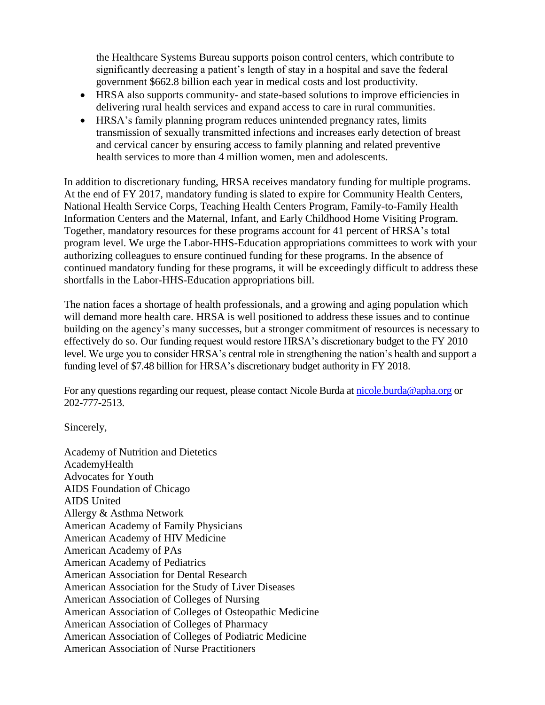the Healthcare Systems Bureau supports poison control centers, which contribute to significantly decreasing a patient's length of stay in a hospital and save the federal government \$662.8 billion each year in medical costs and lost productivity.

- HRSA also supports community- and state-based solutions to improve efficiencies in delivering rural health services and expand access to care in rural communities.
- HRSA's family planning program reduces unintended pregnancy rates, limits transmission of sexually transmitted infections and increases early detection of breast and cervical cancer by ensuring access to family planning and related preventive health services to more than 4 million women, men and adolescents.

In addition to discretionary funding, HRSA receives mandatory funding for multiple programs. At the end of FY 2017, mandatory funding is slated to expire for Community Health Centers, National Health Service Corps, Teaching Health Centers Program, Family-to-Family Health Information Centers and the Maternal, Infant, and Early Childhood Home Visiting Program. Together, mandatory resources for these programs account for 41 percent of HRSA's total program level. We urge the Labor-HHS-Education appropriations committees to work with your authorizing colleagues to ensure continued funding for these programs. In the absence of continued mandatory funding for these programs, it will be exceedingly difficult to address these shortfalls in the Labor-HHS-Education appropriations bill.

The nation faces a shortage of health professionals, and a growing and aging population which will demand more health care. HRSA is well positioned to address these issues and to continue building on the agency's many successes, but a stronger commitment of resources is necessary to effectively do so. Our funding request would restore HRSA's discretionary budget to the FY 2010 level. We urge you to consider HRSA's central role in strengthening the nation's health and support a funding level of \$7.48 billion for HRSA's discretionary budget authority in FY 2018.

For any questions regarding our request, please contact Nicole Burda at [nicole.burda@apha.org](mailto:nicole.burda@apha.org) or 202-777-2513.

Sincerely,

Academy of Nutrition and Dietetics AcademyHealth Advocates for Youth AIDS Foundation of Chicago AIDS United Allergy & Asthma Network American Academy of Family Physicians American Academy of HIV Medicine American Academy of PAs American Academy of Pediatrics American Association for Dental Research American Association for the Study of Liver Diseases American Association of Colleges of Nursing American Association of Colleges of Osteopathic Medicine American Association of Colleges of Pharmacy American Association of Colleges of Podiatric Medicine American Association of Nurse Practitioners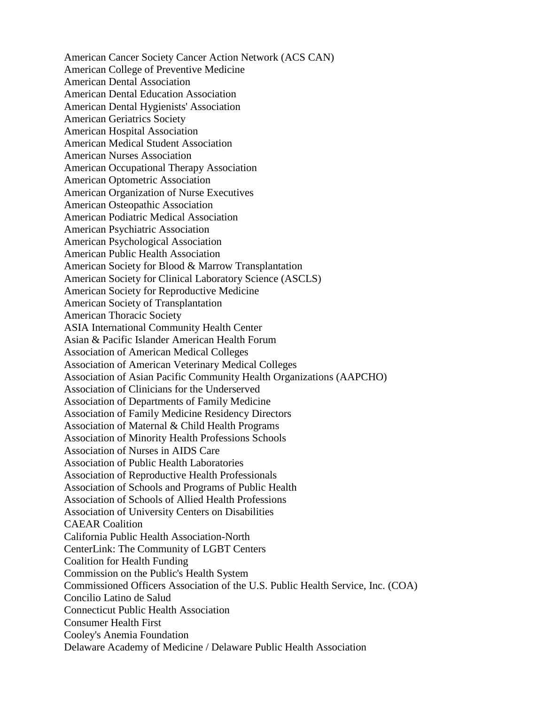American Cancer Society Cancer Action Network (ACS CAN) American College of Preventive Medicine American Dental Association American Dental Education Association American Dental Hygienists' Association American Geriatrics Society American Hospital Association American Medical Student Association American Nurses Association American Occupational Therapy Association American Optometric Association American Organization of Nurse Executives American Osteopathic Association American Podiatric Medical Association American Psychiatric Association American Psychological Association American Public Health Association American Society for Blood & Marrow Transplantation American Society for Clinical Laboratory Science (ASCLS) American Society for Reproductive Medicine American Society of Transplantation American Thoracic Society ASIA International Community Health Center Asian & Pacific Islander American Health Forum Association of American Medical Colleges Association of American Veterinary Medical Colleges Association of Asian Pacific Community Health Organizations (AAPCHO) Association of Clinicians for the Underserved Association of Departments of Family Medicine Association of Family Medicine Residency Directors Association of Maternal & Child Health Programs Association of Minority Health Professions Schools Association of Nurses in AIDS Care Association of Public Health Laboratories Association of Reproductive Health Professionals Association of Schools and Programs of Public Health Association of Schools of Allied Health Professions Association of University Centers on Disabilities CAEAR Coalition California Public Health Association-North CenterLink: The Community of LGBT Centers Coalition for Health Funding Commission on the Public's Health System Commissioned Officers Association of the U.S. Public Health Service, Inc. (COA) Concilio Latino de Salud Connecticut Public Health Association Consumer Health First Cooley's Anemia Foundation Delaware Academy of Medicine / Delaware Public Health Association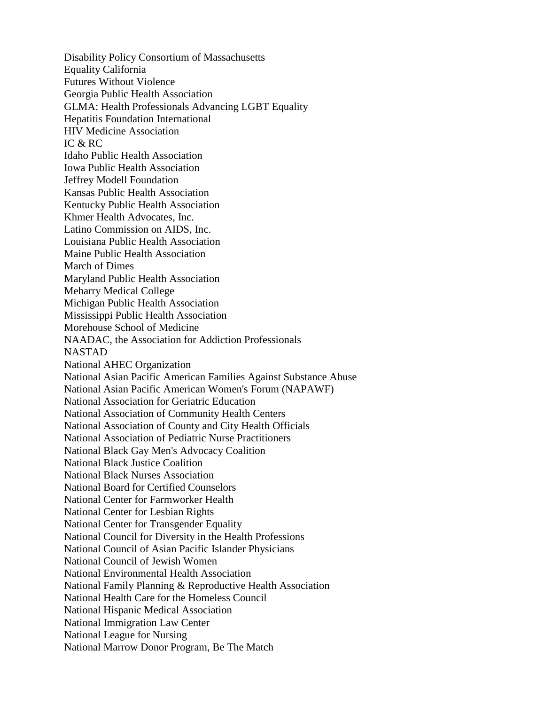Disability Policy Consortium of Massachusetts Equality California Futures Without Violence Georgia Public Health Association GLMA: Health Professionals Advancing LGBT Equality Hepatitis Foundation International HIV Medicine Association IC & RC Idaho Public Health Association Iowa Public Health Association Jeffrey Modell Foundation Kansas Public Health Association Kentucky Public Health Association Khmer Health Advocates, Inc. Latino Commission on AIDS, Inc. Louisiana Public Health Association Maine Public Health Association March of Dimes Maryland Public Health Association Meharry Medical College Michigan Public Health Association Mississippi Public Health Association Morehouse School of Medicine NAADAC, the Association for Addiction Professionals NASTAD National AHEC Organization National Asian Pacific American Families Against Substance Abuse National Asian Pacific American Women's Forum (NAPAWF) National Association for Geriatric Education National Association of Community Health Centers National Association of County and City Health Officials National Association of Pediatric Nurse Practitioners National Black Gay Men's Advocacy Coalition National Black Justice Coalition National Black Nurses Association National Board for Certified Counselors National Center for Farmworker Health National Center for Lesbian Rights National Center for Transgender Equality National Council for Diversity in the Health Professions National Council of Asian Pacific Islander Physicians National Council of Jewish Women National Environmental Health Association National Family Planning & Reproductive Health Association National Health Care for the Homeless Council National Hispanic Medical Association National Immigration Law Center National League for Nursing National Marrow Donor Program, Be The Match